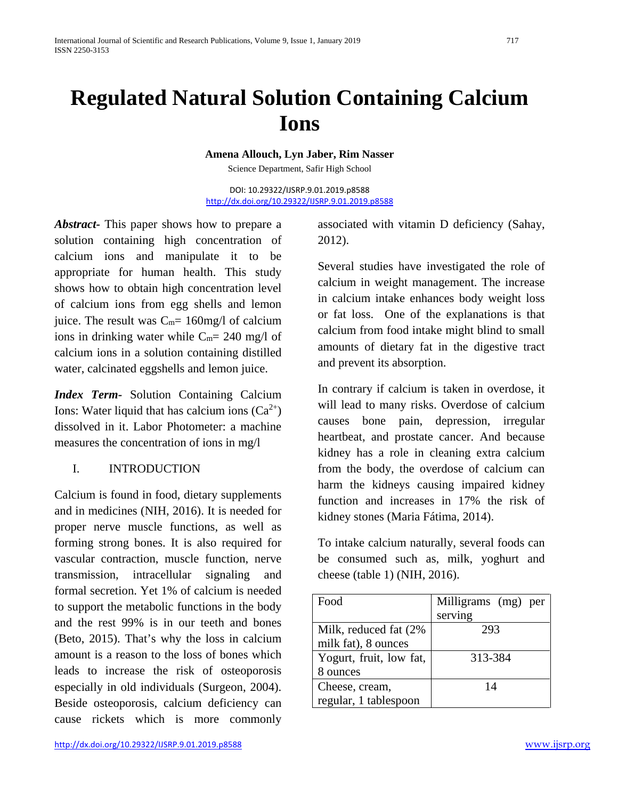# **Regulated Natural Solution Containing Calcium Ions**

**Amena Allouch, Lyn Jaber, Rim Nasser**

Science Department, Safir High School

DOI: 10.29322/IJSRP.9.01.2019.p8588 <http://dx.doi.org/10.29322/IJSRP.9.01.2019.p8588>

*Abstract-* This paper shows how to prepare a solution containing high concentration of calcium ions and manipulate it to be appropriate for human health. This study shows how to obtain high concentration level of calcium ions from egg shells and lemon juice. The result was  $C_m = 160$ mg/l of calcium ions in drinking water while  $C_m$ = 240 mg/l of calcium ions in a solution containing distilled water, calcinated eggshells and lemon juice.

*Index Term-* Solution Containing Calcium Ions: Water liquid that has calcium ions  $(Ca^{2+})$ dissolved in it. Labor Photometer: a machine measures the concentration of ions in mg/l

# I. INTRODUCTION

Calcium is found in food, dietary supplements and in medicines (NIH, 2016). It is needed for proper nerve muscle functions, as well as forming strong bones. It is also required for vascular contraction, muscle function, nerve transmission, intracellular signaling and formal secretion. Yet 1% of calcium is needed to support the metabolic functions in the body and the rest 99% is in our teeth and bones (Beto, 2015). That's why the loss in calcium amount is a reason to the loss of bones which leads to increase the risk of osteoporosis especially in old individuals (Surgeon, 2004). Beside osteoporosis, calcium deficiency can cause rickets which is more commonly

<http://dx.doi.org/10.29322/IJSRP.9.01.2019.p8588> [www.ijsrp.org](http://ijsrp.org/)

associated with vitamin D deficiency (Sahay, 2012).

Several studies have investigated the role of calcium in weight management. The increase in calcium intake enhances body weight loss or fat loss. One of the explanations is that calcium from food intake might blind to small amounts of dietary fat in the digestive tract and prevent its absorption.

In contrary if calcium is taken in overdose, it will lead to many risks. Overdose of calcium causes bone pain, depression, irregular heartbeat, and prostate cancer. And because kidney has a role in cleaning extra calcium from the body, the overdose of calcium can harm the kidneys causing impaired kidney function and increases in 17% the risk of kidney stones (Maria Fátima, 2014).

To intake calcium naturally, several foods can be consumed such as, milk, yoghurt and cheese (table 1) (NIH, 2016).

| Food                    | Milligrams (mg) per |
|-------------------------|---------------------|
|                         | serving             |
| Milk, reduced fat (2%)  | 293                 |
| milk fat), 8 ounces     |                     |
| Yogurt, fruit, low fat, | 313-384             |
| 8 ounces                |                     |
| Cheese, cream,          | 14                  |
| regular, 1 tablespoon   |                     |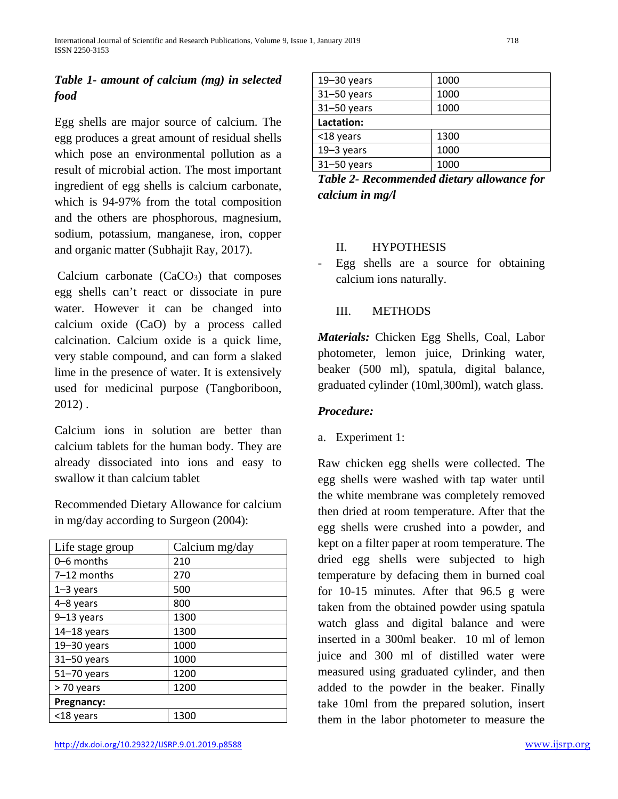# *Table 1- amount of calcium (mg) in selected food*

Egg shells are major source of calcium. The egg produces a great amount of residual shells which pose an environmental pollution as a result of microbial action. The most important ingredient of egg shells is calcium carbonate, which is 94-97% from the total composition and the others are phosphorous, magnesium, sodium, potassium, manganese, iron, copper and organic matter (Subhajit Ray, 2017).

Calcium carbonate  $(CaCO<sub>3</sub>)$  that composes egg shells can't react or dissociate in pure water. However it can be changed into calcium oxide (CaO) by a process called calcination. Calcium oxide is a quick lime, very stable compound, and can form a slaked lime in the presence of water. It is extensively used for medicinal purpose (Tangboriboon, 2012) .

Calcium ions in solution are better than calcium tablets for the human body. They are already dissociated into ions and easy to swallow it than calcium tablet

Recommended Dietary Allowance for calcium in mg/day according to Surgeon (2004):

| Life stage group | Calcium mg/day |  |
|------------------|----------------|--|
| 0–6 months       | 210            |  |
| $7-12$ months    | 270            |  |
| $1-3$ years      | 500            |  |
| 4-8 years        | 800            |  |
| $9-13$ years     | 1300           |  |
| $14-18$ years    | 1300           |  |
| $19 - 30$ years  | 1000           |  |
| $31 - 50$ years  | 1000           |  |
| 51-70 years      | 1200           |  |
| > 70 years       | 1200           |  |
| Pregnancy:       |                |  |
| <18 years        | 1300           |  |

| $19 - 30$ years | 1000 |
|-----------------|------|
| $31 - 50$ years | 1000 |
| $31 - 50$ years | 1000 |
| Lactation:      |      |
| <18 years       | 1300 |
| $19-3$ years    | 1000 |
| $31 - 50$ years | 1000 |

| Table 2- Recommended dietary allowance for |  |
|--------------------------------------------|--|
| calcium in $mg/l$                          |  |

#### II. HYPOTHESIS

Egg shells are a source for obtaining calcium ions naturally.

## III. METHODS

*Materials:* Chicken Egg Shells, Coal, Labor photometer, lemon juice, Drinking water, beaker (500 ml), spatula, digital balance, graduated cylinder (10ml,300ml), watch glass.

#### *Procedure:*

a. Experiment 1:

Raw chicken egg shells were collected. The egg shells were washed with tap water until the white membrane was completely removed then dried at room temperature. After that the egg shells were crushed into a powder, and kept on a filter paper at room temperature. The dried egg shells were subjected to high temperature by defacing them in burned coal for 10-15 minutes. After that 96.5 g were taken from the obtained powder using spatula watch glass and digital balance and were inserted in a 300ml beaker. 10 ml of lemon juice and 300 ml of distilled water were measured using graduated cylinder, and then added to the powder in the beaker. Finally take 10ml from the prepared solution, insert them in the labor photometer to measure the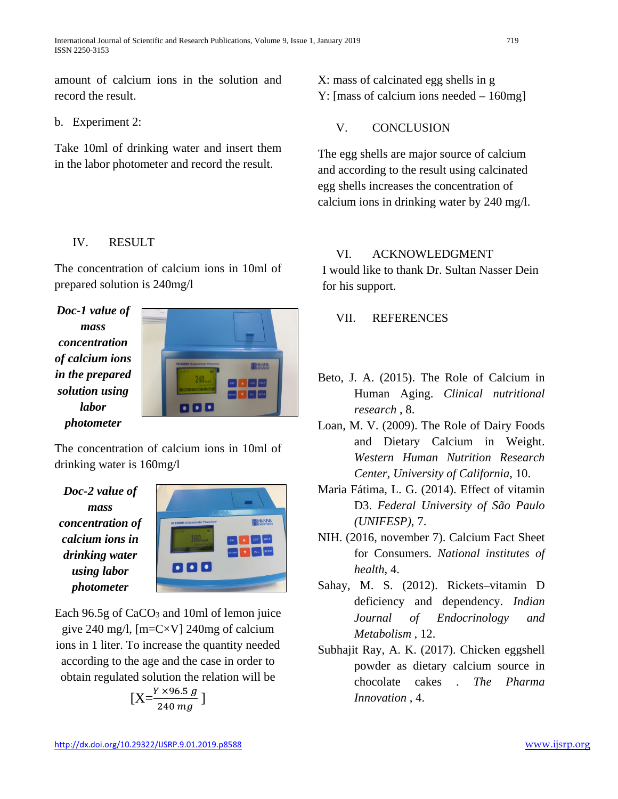amount of calcium ions in the solution and record the result.

b. Experiment 2:

Take 10ml of drinking water and insert them in the labor photometer and record the result.

## IV. RESULT

The concentration of calcium ions in 10ml of prepared solution is 240mg/l

*Doc-1 value of mass concentration of calcium ions in the prepared solution using labor photometer*



The concentration of calcium ions in 10ml of drinking water is 160mg/l

*Doc-2 value of mass concentration of calcium ions in drinking water using labor photometer*



Each 96.5g of CaCO<sub>3</sub> and 10ml of lemon juice give 240 mg/l,  $[m=CN]$  240mg of calcium ions in 1 liter. To increase the quantity needed according to the age and the case in order to obtain regulated solution the relation will be

$$
[X = \frac{Y \times 96.5 \, g}{240 \, mg}]
$$

X: mass of calcinated egg shells in g Y: [mass of calcium ions needed – 160mg]

V. CONCLUSION

The egg shells are major source of calcium and according to the result using calcinated egg shells increases the concentration of calcium ions in drinking water by 240 mg/l.

# VI. ACKNOWLEDGMENT

I would like to thank Dr. Sultan Nasser Dein for his support.

## VII. REFERENCES

- Beto, J. A. (2015). The Role of Calcium in Human Aging. *Clinical nutritional research* , 8.
- Loan, M. V. (2009). The Role of Dairy Foods and Dietary Calcium in Weight. *Western Human Nutrition Research Center, University of California*, 10.
- Maria Fátima, L. G. (2014). Effect of vitamin D3. *Federal University of São Paulo (UNIFESP)*, 7.
- NIH. (2016, november 7). Calcium Fact Sheet for Consumers. *National institutes of health*, 4.
- Sahay, M. S. (2012). Rickets–vitamin D deficiency and dependency. *Indian Journal of Endocrinology and Metabolism* , 12.
- Subhajit Ray, A. K. (2017). Chicken eggshell powder as dietary calcium source in chocolate cakes . *The Pharma Innovation* , 4.